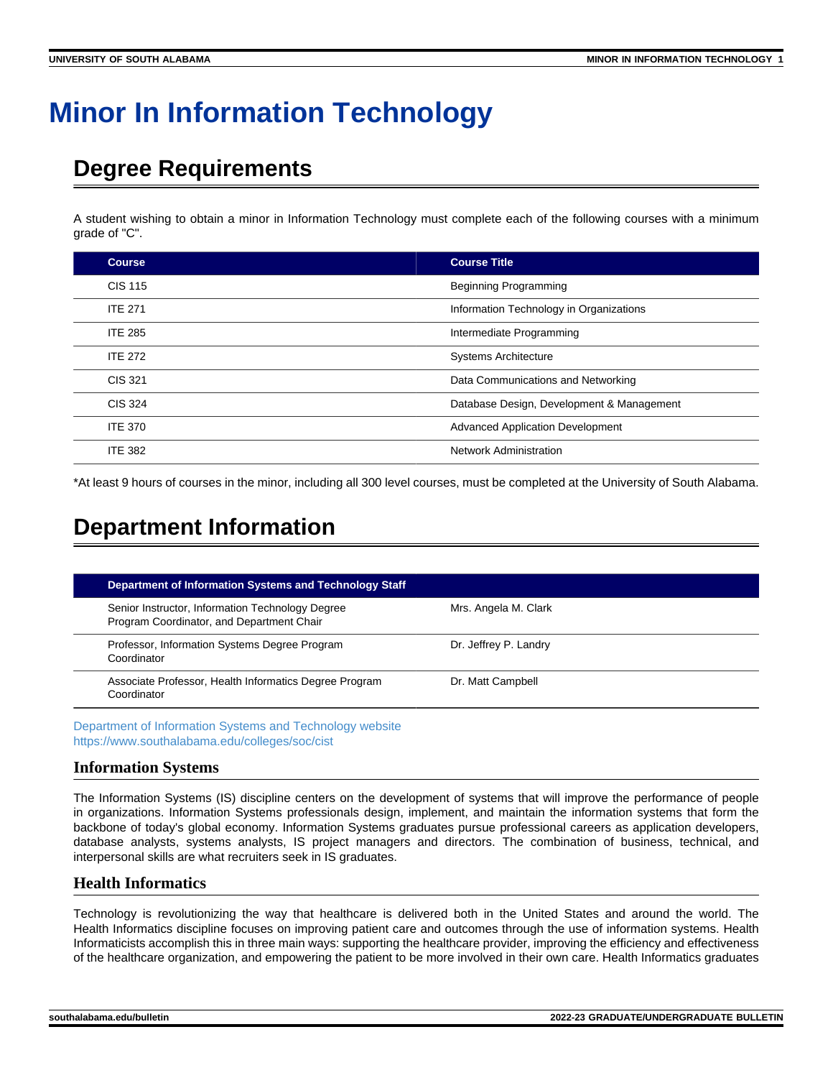# **Minor In Information Technology**

## **Degree Requirements**

A student wishing to obtain a minor in Information Technology must complete each of the following courses with a minimum grade of "C".

| <b>Course</b>  | <b>Course Title</b>                       |
|----------------|-------------------------------------------|
| <b>CIS 115</b> | <b>Beginning Programming</b>              |
| <b>ITE 271</b> | Information Technology in Organizations   |
| <b>ITE 285</b> | Intermediate Programming                  |
| <b>ITE 272</b> | <b>Systems Architecture</b>               |
| CIS 321        | Data Communications and Networking        |
| <b>CIS 324</b> | Database Design, Development & Management |
| <b>ITE 370</b> | <b>Advanced Application Development</b>   |
| <b>ITE 382</b> | <b>Network Administration</b>             |

\*At least 9 hours of courses in the minor, including all 300 level courses, must be completed at the University of South Alabama.

### **Department Information**

| <b>Department of Information Systems and Technology Staff</b>                                 |                       |
|-----------------------------------------------------------------------------------------------|-----------------------|
| Senior Instructor, Information Technology Degree<br>Program Coordinator, and Department Chair | Mrs. Angela M. Clark  |
| Professor, Information Systems Degree Program<br>Coordinator                                  | Dr. Jeffrey P. Landry |
| Associate Professor, Health Informatics Degree Program<br>Coordinator                         | Dr. Matt Campbell     |

[Department of Information Systems and Technology website](https://www.southalabama.edu/colleges/soc/cist) <https://www.southalabama.edu/colleges/soc/cist>

#### **Information Systems**

The Information Systems (IS) discipline centers on the development of systems that will improve the performance of people in organizations. Information Systems professionals design, implement, and maintain the information systems that form the backbone of today's global economy. Information Systems graduates pursue professional careers as application developers, database analysts, systems analysts, IS project managers and directors. The combination of business, technical, and interpersonal skills are what recruiters seek in IS graduates.

#### **Health Informatics**

Technology is revolutionizing the way that healthcare is delivered both in the United States and around the world. The Health Informatics discipline focuses on improving patient care and outcomes through the use of information systems. Health Informaticists accomplish this in three main ways: supporting the healthcare provider, improving the efficiency and effectiveness of the healthcare organization, and empowering the patient to be more involved in their own care. Health Informatics graduates